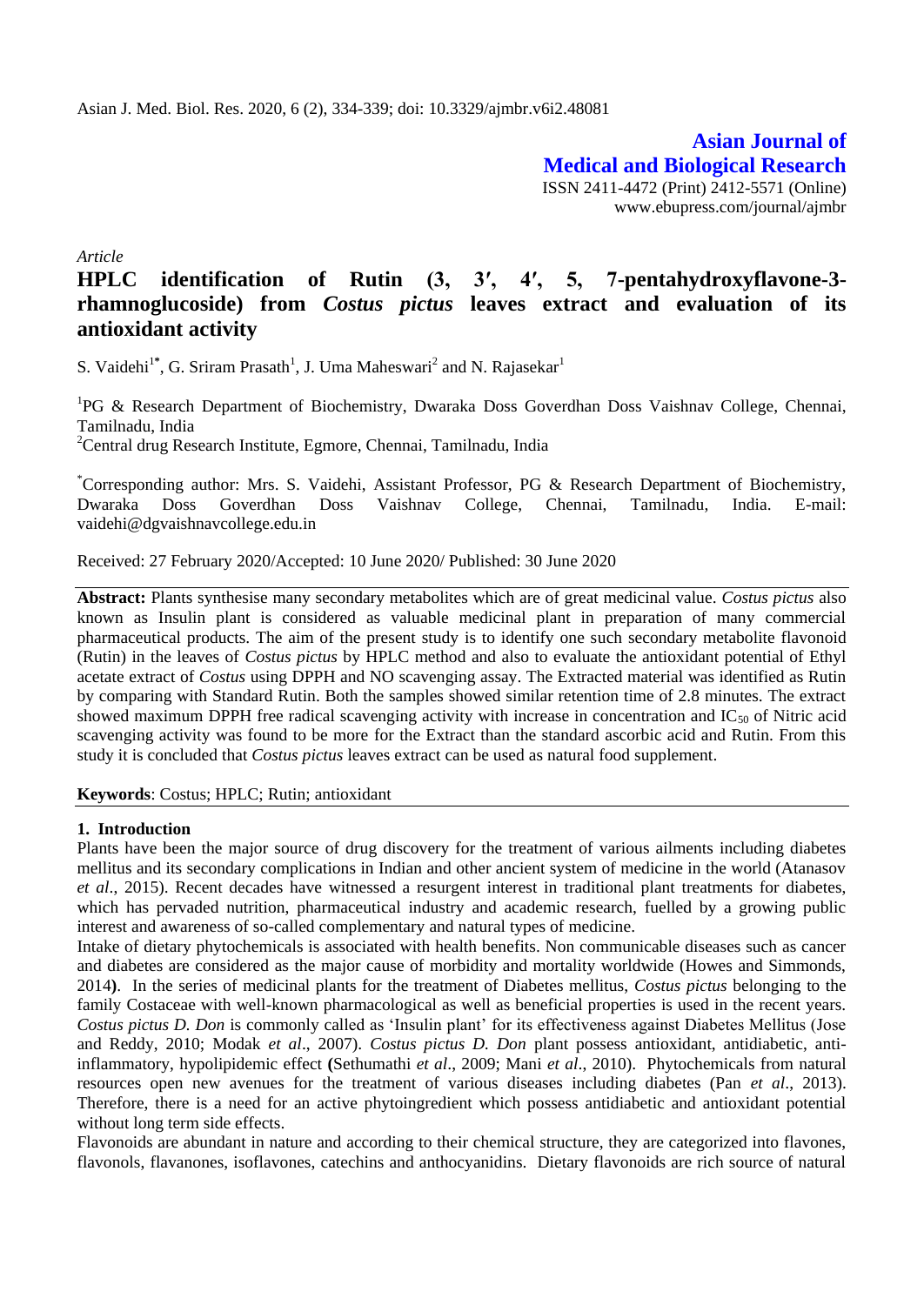**Asian Journal of Medical and Biological Research** ISSN 2411-4472 (Print) 2412-5571 (Online) www.ebupress.com/journal/ajmbr

*Article*

# **HPLC identification of Rutin (3, 3′, 4′, 5, 7-pentahydroxyflavone-3 rhamnoglucoside) from** *Costus pictus* **leaves extract and evaluation of its antioxidant activity**

S. Vaidehi<sup>1\*</sup>, G. Sriram Prasath<sup>1</sup>, J. Uma Maheswari<sup>2</sup> and N. Rajasekar<sup>1</sup>

<sup>1</sup>PG & Research Department of Biochemistry, Dwaraka Doss Goverdhan Doss Vaishnav College, Chennai, Tamilnadu, India

<sup>2</sup>Central drug Research Institute, Egmore, Chennai, Tamilnadu, India

\*Corresponding author: Mrs. S. Vaidehi, Assistant Professor, PG & Research Department of Biochemistry, Dwaraka Doss Goverdhan Doss Vaishnav College, Chennai, Tamilnadu, India. E-mail: vaidehi@dgvaishnavcollege.edu.in

Received: 27 February 2020/Accepted: 10 June 2020/ Published: 30 June 2020

**Abstract:** Plants synthesise many secondary metabolites which are of great medicinal value. *Costus pictus* also known as Insulin plant is considered as valuable medicinal plant in preparation of many commercial pharmaceutical products. The aim of the present study is to identify one such secondary metabolite flavonoid (Rutin) in the leaves of *Costus pictus* by HPLC method and also to evaluate the antioxidant potential of Ethyl acetate extract of *Costus* using DPPH and NO scavenging assay. The Extracted material was identified as Rutin by comparing with Standard Rutin. Both the samples showed similar retention time of 2.8 minutes. The extract showed maximum DPPH free radical scavenging activity with increase in concentration and  $IC_{50}$  of Nitric acid scavenging activity was found to be more for the Extract than the standard ascorbic acid and Rutin. From this study it is concluded that *Costus pictus* leaves extract can be used as natural food supplement.

**Keywords**: Costus; HPLC; Rutin; antioxidant

#### **1. Introduction**

Plants have been the major source of drug discovery for the treatment of various ailments including diabetes mellitus and its secondary complications in Indian and other ancient system of medicine in the world (Atanasov *et al*., 2015). Recent decades have witnessed a resurgent interest in traditional plant treatments for diabetes, which has pervaded nutrition, pharmaceutical industry and academic research, fuelled by a growing public interest and awareness of so-called complementary and natural types of medicine.

Intake of dietary phytochemicals is associated with health benefits. Non communicable diseases such as cancer and diabetes are considered as the major cause of morbidity and mortality worldwide (Howes and Simmonds, 2014**)**. In the series of medicinal plants for the treatment of Diabetes mellitus, *Costus pictus* belonging to the family Costaceae with well-known pharmacological as well as beneficial properties is used in the recent years. *Costus pictus D. Don* is commonly called as 'Insulin plant' for its effectiveness against Diabetes Mellitus (Jose and Reddy, 2010; Modak *et al*., 2007). *Costus pictus D. Don* plant possess antioxidant, antidiabetic, antiinflammatory, hypolipidemic effect **(**Sethumathi *et al*., 2009; Mani *et al*., 2010). Phytochemicals from natural resources open new avenues for the treatment of various diseases including diabetes (Pan *et al*., 2013). Therefore, there is a need for an active phytoingredient which possess antidiabetic and antioxidant potential without long term side effects.

Flavonoids are abundant in nature and according to their chemical structure, they are categorized into flavones, flavonols, flavanones, isoflavones, catechins and anthocyanidins. Dietary flavonoids are rich source of natural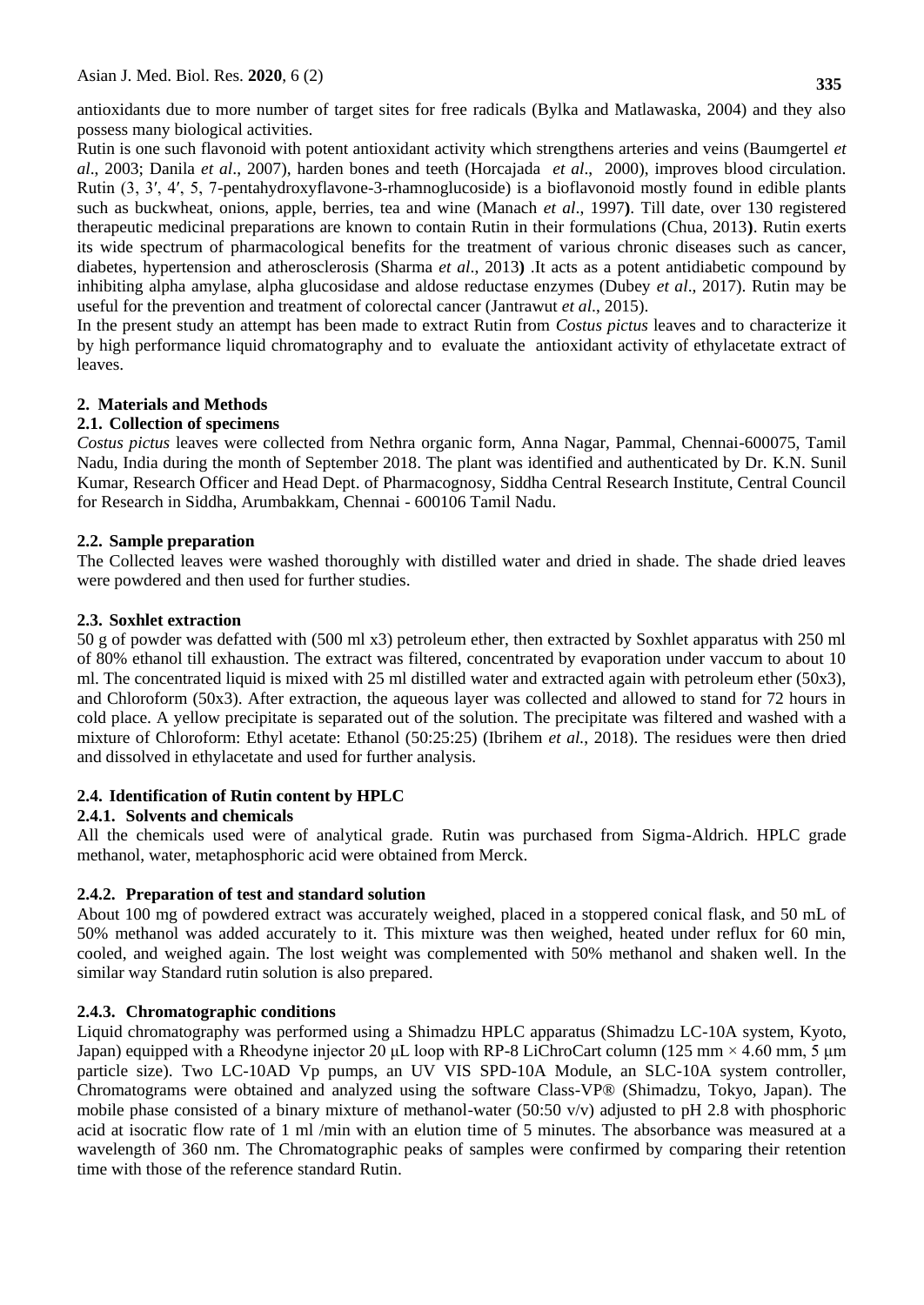antioxidants due to more number of target sites for free radicals (Bylka and Matlawaska, 2004) and they also possess many biological activities.

Rutin is one such flavonoid with potent antioxidant activity which strengthens arteries and veins (Baumgertel *et al*., 2003; Danila *et al*., 2007), harden bones and teeth (Horcajada *et al*., 2000), improves blood circulation. Rutin (3, 3′, 4′, 5, 7-pentahydroxyflavone-3-rhamnoglucoside) is a bioflavonoid mostly found in edible plants such as buckwheat, onions, apple, berries, tea and wine (Manach *et al*., 1997**)**. Till date, over 130 registered therapeutic medicinal preparations are known to contain Rutin in their formulations (Chua, 2013**)**. Rutin exerts its wide spectrum of pharmacological benefits for the treatment of various chronic diseases such as cancer, diabetes, hypertension and atherosclerosis (Sharma *et al*., 2013**)** .It acts as a potent antidiabetic compound by inhibiting alpha amylase, alpha glucosidase and aldose reductase enzymes (Dubey *et al*., 2017). Rutin may be useful for the prevention and treatment of colorectal cancer (Jantrawut *et al*., 2015).

In the present study an attempt has been made to extract Rutin from *Costus pictus* leaves and to characterize it by high performance liquid chromatography and to evaluate the antioxidant activity of ethylacetate extract of leaves.

# **2. Materials and Methods**

# **2.1. Collection of specimens**

*Costus pictus* leaves were collected from Nethra organic form, Anna Nagar, Pammal, Chennai-600075, Tamil Nadu, India during the month of September 2018. The plant was identified and authenticated by Dr. K.N. Sunil Kumar, Research Officer and Head Dept. of Pharmacognosy, Siddha Central Research Institute, Central Council for Research in Siddha, Arumbakkam, Chennai - 600106 Tamil Nadu.

# **2.2. Sample preparation**

The Collected leaves were washed thoroughly with distilled water and dried in shade. The shade dried leaves were powdered and then used for further studies.

# **2.3. Soxhlet extraction**

50 g of powder was defatted with (500 ml x3) petroleum ether, then extracted by Soxhlet apparatus with 250 ml of 80% ethanol till exhaustion. The extract was filtered, concentrated by evaporation under vaccum to about 10 ml. The concentrated liquid is mixed with 25 ml distilled water and extracted again with petroleum ether (50x3), and Chloroform (50x3). After extraction, the aqueous layer was collected and allowed to stand for 72 hours in cold place. A yellow precipitate is separated out of the solution. The precipitate was filtered and washed with a mixture of Chloroform: Ethyl acetate: Ethanol (50:25:25) (Ibrihem *et al.*, 2018). The residues were then dried and dissolved in ethylacetate and used for further analysis.

# **2.4. Identification of Rutin content by HPLC**

# **2.4.1. Solvents and chemicals**

All the chemicals used were of analytical grade. Rutin was purchased from Sigma-Aldrich. HPLC grade methanol, water, metaphosphoric acid were obtained from Merck.

# **2.4.2. Preparation of test and standard solution**

About 100 mg of powdered extract was accurately weighed, placed in a stoppered conical flask, and 50 mL of 50% methanol was added accurately to it. This mixture was then weighed, heated under reflux for 60 min, cooled, and weighed again. The lost weight was complemented with 50% methanol and shaken well. In the similar way Standard rutin solution is also prepared.

# **2.4.3. Chromatographic conditions**

Liquid chromatography was performed using a Shimadzu HPLC apparatus (Shimadzu LC-10A system, Kyoto, Japan) equipped with a Rheodyne injector 20 μL loop with RP-8 LiChroCart column (125 mm × 4.60 mm, 5 μm particle size). Two LC-10AD Vp pumps, an UV VIS SPD-10A Module, an SLC-10A system controller, Chromatograms were obtained and analyzed using the software Class-VP® (Shimadzu, Tokyo, Japan). The mobile phase consisted of a binary mixture of methanol-water (50:50 v/v) adjusted to pH 2.8 with phosphoric acid at isocratic flow rate of 1 ml /min with an elution time of 5 minutes. The absorbance was measured at a wavelength of 360 nm. The Chromatographic peaks of samples were confirmed by comparing their retention time with those of the reference standard Rutin.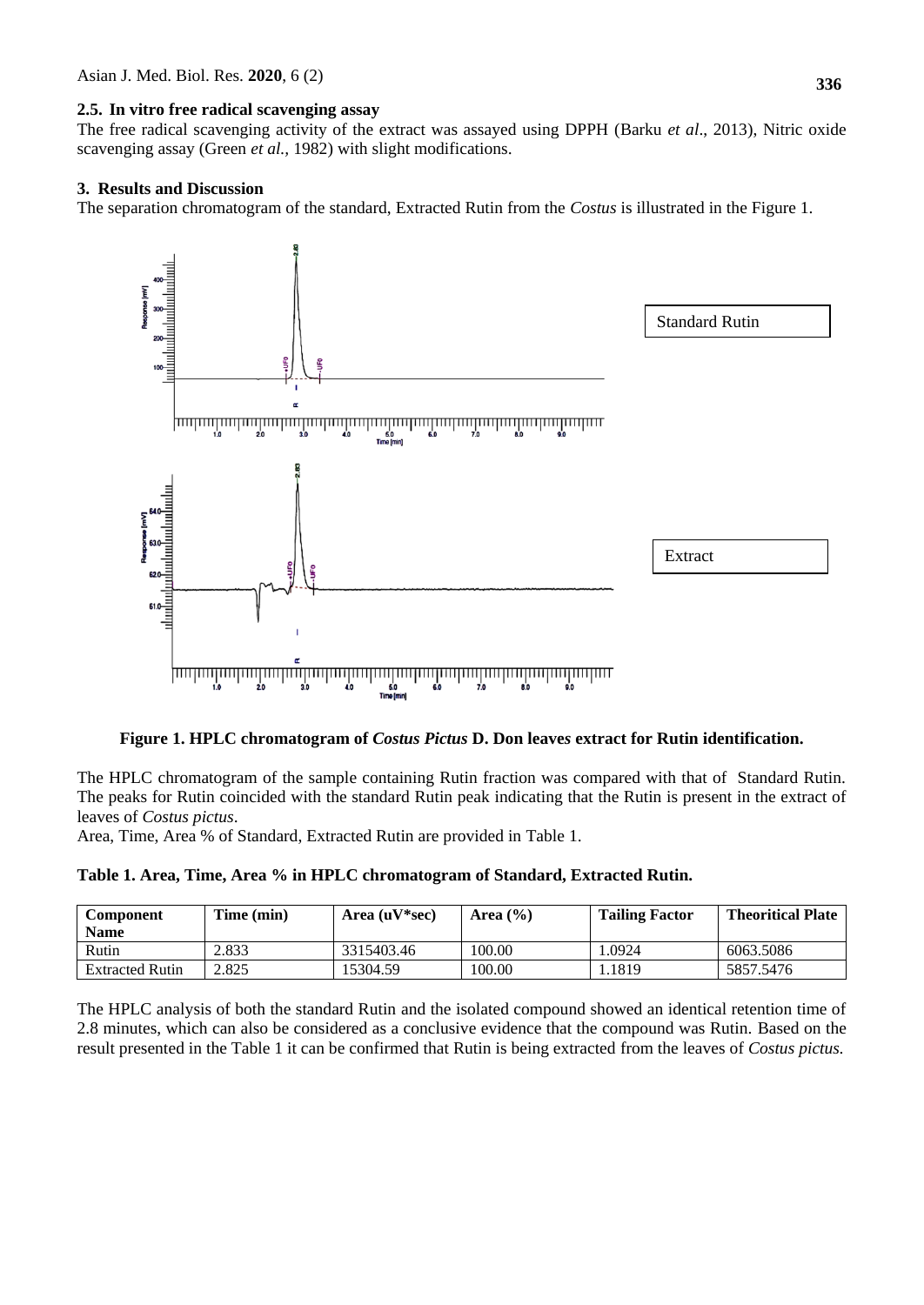#### **2.5. In vitro free radical scavenging assay**

The free radical scavenging activity of the extract was assayed using DPPH (Barku *et al*., 2013), Nitric oxide scavenging assay (Green *et al.,* 1982) with slight modifications.

#### **3. Results and Discussion**

The separation chromatogram of the standard, Extracted Rutin from the *Costus* is illustrated in the Figure 1.



#### **Figure 1. HPLC chromatogram of** *Costus Pictus* **D. Don leave***s* **extract for Rutin identification.**

The HPLC chromatogram of the sample containing Rutin fraction was compared with that of Standard Rutin. The peaks for Rutin coincided with the standard Rutin peak indicating that the Rutin is present in the extract of leaves of *Costus pictus*.

Area, Time, Area % of Standard, Extracted Rutin are provided in Table 1.

|  |  |  |  |  | Table 1. Area, Time, Area % in HPLC chromatogram of Standard, Extracted Rutin. |
|--|--|--|--|--|--------------------------------------------------------------------------------|
|--|--|--|--|--|--------------------------------------------------------------------------------|

| <b>Component</b><br><b>Name</b> | Time (min) | Area $(uV*sec)$ | Area $(\% )$ | <b>Tailing Factor</b> | <b>Theoritical Plate</b> |
|---------------------------------|------------|-----------------|--------------|-----------------------|--------------------------|
| Rutin                           | 2.833      | 3315403.46      | 100.00       | .0924                 | 6063.5086                |
| <b>Extracted Rutin</b>          | 2.825      | 15304.59        | 100.00       | 1819ء                 | 5857.5476                |

The HPLC analysis of both the standard Rutin and the isolated compound showed an identical retention time of 2.8 minutes, which can also be considered as a conclusive evidence that the compound was Rutin. Based on the result presented in the Table 1 it can be confirmed that Rutin is being extracted from the leaves of *Costus pictus.*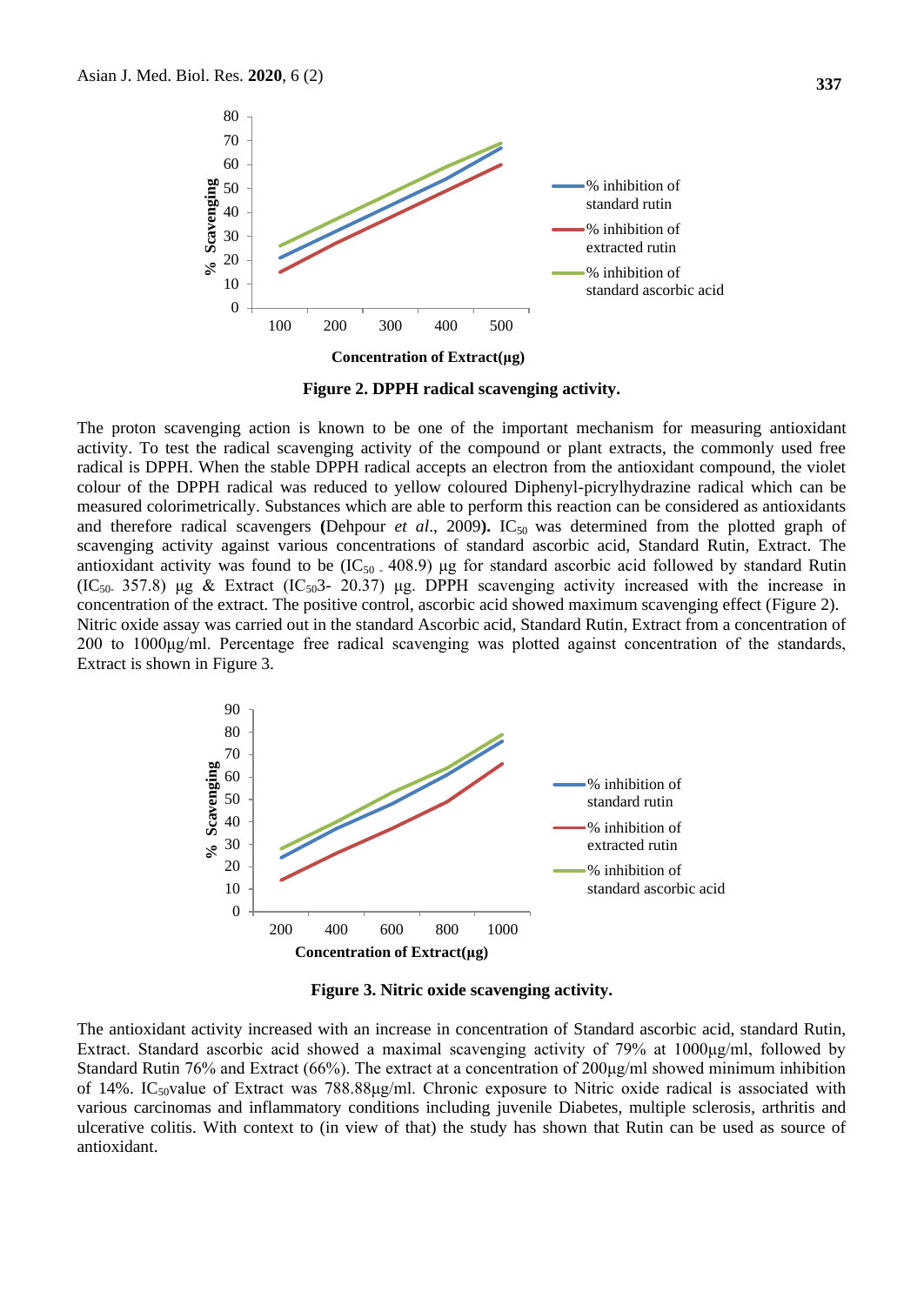

**Figure 2. DPPH radical scavenging activity.**

The proton scavenging action is known to be one of the important mechanism for measuring antioxidant activity. To test the radical scavenging activity of the compound or plant extracts, the commonly used free radical is DPPH. When the stable DPPH radical accepts an electron from the antioxidant compound, the violet colour of the DPPH radical was reduced to yellow coloured Diphenyl-picrylhydrazine radical which can be measured colorimetrically. Substances which are able to perform this reaction can be considered as antioxidants and therefore radical scavengers (Dehpour *et al.*, 2009). IC<sub>50</sub> was determined from the plotted graph of scavenging activity against various concentrations of standard ascorbic acid, Standard Rutin, Extract. The antioxidant activity was found to be  $(IC_{50}$ . 408.9) µg for standard ascorbic acid followed by standard Rutin  $(IC<sub>50</sub> 357.8)$  μg & Extract  $(IC<sub>50</sub>3-20.37)$  μg. DPPH scavenging activity increased with the increase in concentration of the extract. The positive control, ascorbic acid showed maximum scavenging effect (Figure 2). Nitric oxide assay was carried out in the standard Ascorbic acid, Standard Rutin, Extract from a concentration of 200 to 1000μg/ml. Percentage free radical scavenging was plotted against concentration of the standards, Extract is shown in Figure 3.



**Figure 3. Nitric oxide scavenging activity.**

The antioxidant activity increased with an increase in concentration of Standard ascorbic acid, standard Rutin, Extract. Standard ascorbic acid showed a maximal scavenging activity of 79% at 1000μg/ml, followed by Standard Rutin 76% and Extract (66%). The extract at a concentration of  $200\mu\text{g/ml}$  showed minimum inhibition of 14%. IC<sub>50</sub>value of Extract was 788.88 $\mu$ g/ml. Chronic exposure to Nitric oxide radical is associated with various carcinomas and inflammatory conditions including juvenile Diabetes, multiple sclerosis, arthritis and ulcerative colitis. With context to (in view of that) the study has shown that Rutin can be used as source of antioxidant.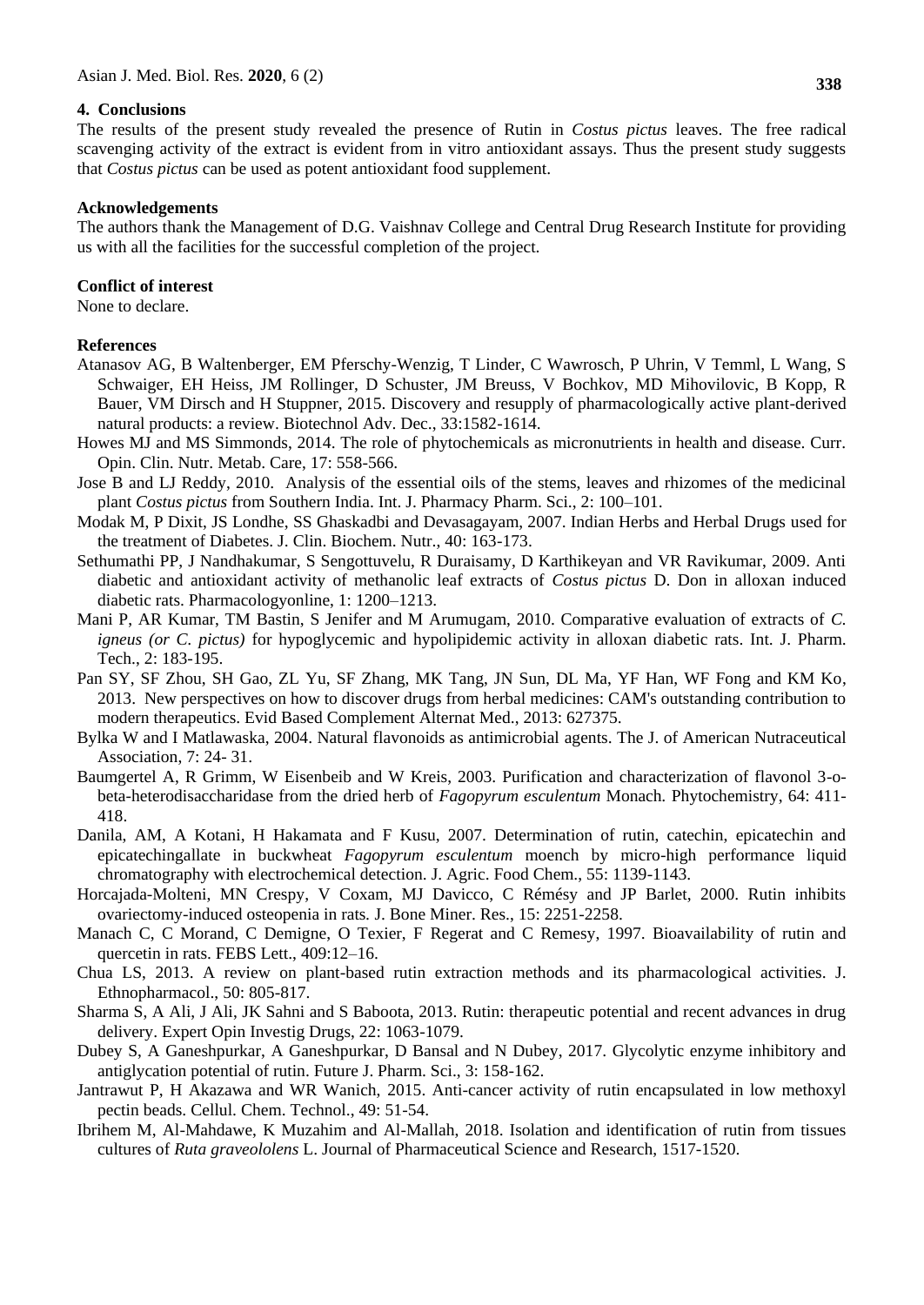#### **4. Conclusions**

The results of the present study revealed the presence of Rutin in *Costus pictus* leaves. The free radical scavenging activity of the extract is evident from in vitro antioxidant assays. Thus the present study suggests that *Costus pictus* can be used as potent antioxidant food supplement.

#### **Acknowledgements**

The authors thank the Management of D.G. Vaishnav College and Central Drug Research Institute for providing us with all the facilities for the successful completion of the project.

#### **Conflict of interest**

None to declare.

#### **References**

- Atanasov AG, B Waltenberger, EM Pferschy-Wenzig, T Linder, C Wawrosch, P Uhrin, V Temml, L Wang, S Schwaiger, EH Heiss, JM Rollinger, D Schuster, JM Breuss, V Bochkov, MD Mihovilovic, B Kopp, R Bauer, VM Dirsch and H Stuppner, 2015. Discovery and resupply of pharmacologically active plant-derived natural products: a review. Biotechnol Adv. Dec., 33:1582-1614.
- Howes MJ and MS Simmonds, 2014. The role of phytochemicals as micronutrients in health and disease. Curr. Opin. Clin. Nutr. Metab. Care, 17: 558-566.
- Jose B and LJ Reddy, 2010. Analysis of the essential oils of the stems, leaves and rhizomes of the medicinal plant *Costus pictus* from Southern India. Int. J. Pharmacy Pharm. Sci., 2: 100–101.
- Modak M, P Dixit, JS Londhe, SS Ghaskadbi and Devasagayam, 2007. Indian Herbs and Herbal Drugs used for the treatment of Diabetes. J. Clin. Biochem. Nutr., 40: 163-173.
- Sethumathi PP, J Nandhakumar, S Sengottuvelu, R Duraisamy, D Karthikeyan and VR Ravikumar, 2009. Anti diabetic and antioxidant activity of methanolic leaf extracts of *Costus pictus* D. Don in alloxan induced diabetic rats. Pharmacologyonline, 1: 1200–1213.
- Mani P, AR Kumar, TM Bastin, S Jenifer and M Arumugam, 2010. Comparative evaluation of extracts of *C. igneus (or C. pictus)* for hypoglycemic and hypolipidemic activity in alloxan diabetic rats. Int. J. Pharm. Tech., 2: 183-195.
- Pan SY, SF Zhou, SH Gao, ZL Yu, SF Zhang, MK Tang, JN Sun, DL Ma, YF Han, WF Fong and KM Ko, 2013. New perspectives on how to discover drugs from herbal medicines: CAM's outstanding contribution to modern therapeutics. Evid Based Complement Alternat Med., 2013: 627375.
- Bylka W and I Matlawaska, 2004. Natural flavonoids as antimicrobial agents. The J. of American Nutraceutical Association, 7: 24- 31.
- Baumgertel A, R Grimm, W Eisenbeib and W Kreis, 2003. Purification and characterization of flavonol 3-obeta-heterodisaccharidase from the dried herb of *Fagopyrum esculentum* Monach*.* Phytochemistry, 64: 411- 418.
- Danila, AM, A Kotani, H Hakamata and F Kusu, 2007. Determination of rutin, catechin, epicatechin and epicatechingallate in buckwheat *Fagopyrum esculentum* moench by micro-high performance liquid chromatography with electrochemical detection. J. Agric. Food Chem., 55: 1139-1143.
- Horcajada-Molteni, MN Crespy, V Coxam, MJ Davicco, C Rémésy and JP Barlet, 2000. Rutin inhibits ovariectomy-induced osteopenia in rats*.* J. Bone Miner. Res., 15: 2251-2258.
- Manach C, C Morand, C Demigne, O Texier, F Regerat and C Remesy, 1997. Bioavailability of rutin and quercetin in rats. FEBS Lett., 409:12–16.
- Chua LS, 2013. A review on plant-based rutin extraction methods and its pharmacological activities. J. Ethnopharmacol., 50: 805-817.
- Sharma S, A Ali, J Ali, JK Sahni and S Baboota, 2013. Rutin: therapeutic potential and recent advances in drug delivery. Expert Opin Investig Drugs, 22: 1063-1079.
- Dubey S, A Ganeshpurkar, A Ganeshpurkar, D Bansal and N Dubey, 2017. Glycolytic enzyme inhibitory and antiglycation potential of rutin. Future J. Pharm. Sci., 3: 158-162.
- Jantrawut P, H Akazawa and WR Wanich, 2015. Anti-cancer activity of rutin encapsulated in low methoxyl pectin beads. Cellul. Chem. Technol., 49: 51-54.
- Ibrihem M, Al-Mahdawe, K Muzahim and Al-Mallah, 2018. Isolation and identification of rutin from tissues cultures of *Ruta graveololens* L. Journal of Pharmaceutical Science and Research, 1517-1520.